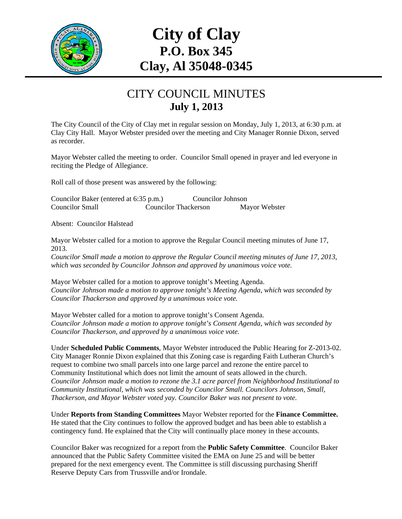

# **City of Clay P.O. Box 345 Clay, Al 35048-0345**

### CITY COUNCIL MINUTES **July 1, 2013**

The City Council of the City of Clay met in regular session on Monday, July 1, 2013, at 6:30 p.m. at Clay City Hall. Mayor Webster presided over the meeting and City Manager Ronnie Dixon, served as recorder.

Mayor Webster called the meeting to order. Councilor Small opened in prayer and led everyone in reciting the Pledge of Allegiance.

Roll call of those present was answered by the following:

Councilor Baker (entered at 6:35 p.m.) Councilor Johnson Councilor Small Councilor Thackerson Mayor Webster

Absent: Councilor Halstead

Mayor Webster called for a motion to approve the Regular Council meeting minutes of June 17, 2013.

*Councilor Small made a motion to approve the Regular Council meeting minutes of June 17, 2013, which was seconded by Councilor Johnson and approved by unanimous voice vote.* 

Mayor Webster called for a motion to approve tonight's Meeting Agenda. *Councilor Johnson made a motion to approve tonight's Meeting Agenda, which was seconded by Councilor Thackerson and approved by a unanimous voice vote.* 

Mayor Webster called for a motion to approve tonight's Consent Agenda. *Councilor Johnson made a motion to approve tonight's Consent Agenda, which was seconded by Councilor Thackerson, and approved by a unanimous voice vote.* 

Under **Scheduled Public Comments**, Mayor Webster introduced the Public Hearing for Z-2013-02. City Manager Ronnie Dixon explained that this Zoning case is regarding Faith Lutheran Church's request to combine two small parcels into one large parcel and rezone the entire parcel to Community Institutional which does not limit the amount of seats allowed in the church. *Councilor Johnson made a motion to rezone the 3.1 acre parcel from Neighborhood Institutional to Community Institutional, which was seconded by Councilor Small. Councilors Johnson, Small, Thackerson, and Mayor Webster voted yay. Councilor Baker was not present to vote.*

Under **Reports from Standing Committees** Mayor Webster reported for the **Finance Committee.** He stated that the City continues to follow the approved budget and has been able to establish a contingency fund. He explained that the City will continually place money in these accounts.

Councilor Baker was recognized for a report from the **Public Safety Committee**. Councilor Baker announced that the Public Safety Committee visited the EMA on June 25 and will be better prepared for the next emergency event. The Committee is still discussing purchasing Sheriff Reserve Deputy Cars from Trussville and/or Irondale.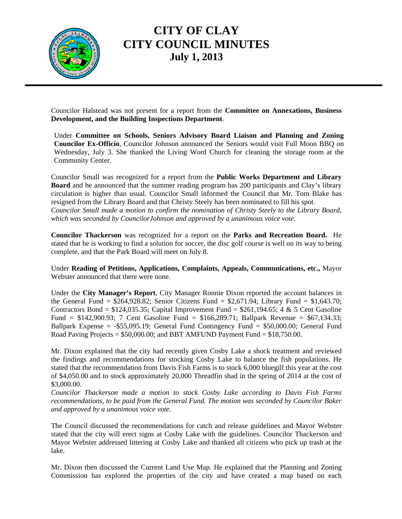

Councilor Halstead was not present for a report from the **Committee on Annexations, Business Development, and the Building Inspections Department**.

Under **Committee on Schools, Seniors Advisory Board Liaison and Planning and Zoning Councilor Ex-Officio**, Councilor Johnson announced the Seniors would visit Full Moon BBQ on Wednesday, July 3. She thanked the Living Word Church for cleaning the storage room at the Community Center.

Councilor Small was recognized for a report from the **Public Works Department and Library Board** and he announced that the summer reading program has 200 participants and Clay's library circulation is higher than usual. Councilor Small informed the Council that Mr. Tom Blake has resigned from the Library Board and that Christy Steely has been nominated to fill his spot. *Councilor Small made a motion to confirm the nomination of Christy Steely to the Library Board, which was seconded by CouncilorJohnson and approved by a unanimous voice vote.* 

**Councilor Thackerson** was recognized for a report on the **Parks and Recreation Board.** He stated that he is working to find a solution for soccer, the disc golf course is well on its way to being complete, and that the Park Board will meet on July 8.

Under **Reading of Petitions, Applications, Complaints, Appeals, Communications, etc.,** Mayor Webster announced that there were none.

Under the **City Manager's Report**, City Manager Ronnie Dixon reported the account balances in the General Fund =  $$264,928.82$ ; Senior Citizens Fund =  $$2,671.94$ ; Library Fund =  $$1,643.70$ ; Contractors Bond =  $$124,035.35$ ; Capital Improvement Fund =  $$261,194.65$ ; 4 & 5 Cent Gasoline Fund = \$142,900.93; 7 Cent Gasoline Fund = \$166,289.71; Ballpark Revenue = \$67,134.33; Ballpark Expense = -\$55,095.19; General Fund Contingency Fund = \$50,000.00; General Fund Road Paving Projects =  $$50,000.00$ ; and BBT AMFUND Payment Fund =  $$18,750.00$ .

Mr. Dixon explained that the city had recently given Cosby Lake a shock treatment and reviewed the findings and recommendations for stocking Cosby Lake to balance the fish populations. He stated that the recommendation from Davis Fish Farms is to stock 6,000 bluegill this year at the cost of \$4,050.00 and to stock approximately 20,000 Threadfin shad in the spring of 2014 at the cost of \$3,000.00.

*Councilor Thackerson made a motion to stock Cosby Lake according to Davis Fish Farms recommendations, to be paid from the General Fund. The motion was seconded by Councilor Baker and approved by a unanimous voice vote.* 

The Council discussed the recommendations for catch and release guidelines and Mayor Webster stated that the city will erect signs at Cosby Lake with the guidelines. Councilor Thackerson and Mayor Webster addressed littering at Cosby Lake and thanked all citizens who pick up trash at the lake.

Mr. Dixon then discussed the Current Land Use Map. He explained that the Planning and Zoning Commission has explored the properties of the city and have created a map based on each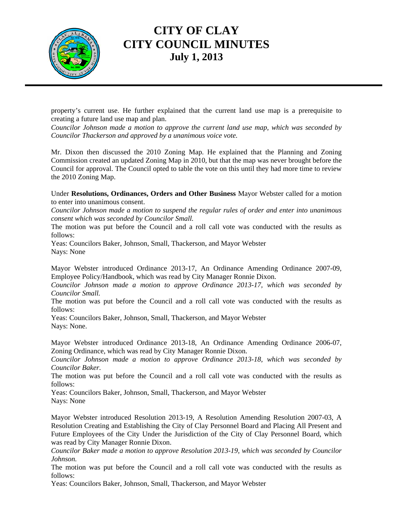

property's current use. He further explained that the current land use map is a prerequisite to creating a future land use map and plan.

*Councilor Johnson made a motion to approve the current land use map, which was seconded by Councilor Thackerson and approved by a unanimous voice vote.* 

Mr. Dixon then discussed the 2010 Zoning Map. He explained that the Planning and Zoning Commission created an updated Zoning Map in 2010, but that the map was never brought before the Council for approval. The Council opted to table the vote on this until they had more time to review the 2010 Zoning Map.

Under **Resolutions, Ordinances, Orders and Other Business** Mayor Webster called for a motion to enter into unanimous consent.

*Councilor Johnson made a motion to suspend the regular rules of order and enter into unanimous consent which was seconded by Councilor Small.* 

The motion was put before the Council and a roll call vote was conducted with the results as follows:

Yeas: Councilors Baker, Johnson, Small, Thackerson, and Mayor Webster Nays: None

Mayor Webster introduced Ordinance 2013-17, An Ordinance Amending Ordinance 2007-09, Employee Policy/Handbook, which was read by City Manager Ronnie Dixon.

*Councilor Johnson made a motion to approve Ordinance 2013-17, which was seconded by Councilor Small.* 

The motion was put before the Council and a roll call vote was conducted with the results as follows:

Yeas: Councilors Baker, Johnson, Small, Thackerson, and Mayor Webster Nays: None.

Mayor Webster introduced Ordinance 2013-18, An Ordinance Amending Ordinance 2006-07, Zoning Ordinance, which was read by City Manager Ronnie Dixon.

*Councilor Johnson made a motion to approve Ordinance 2013-18, which was seconded by Councilor Baker.* 

The motion was put before the Council and a roll call vote was conducted with the results as follows:

Yeas: Councilors Baker, Johnson, Small, Thackerson, and Mayor Webster Nays: None

Mayor Webster introduced Resolution 2013-19, A Resolution Amending Resolution 2007-03, A Resolution Creating and Establishing the City of Clay Personnel Board and Placing All Present and Future Employees of the City Under the Jurisdiction of the City of Clay Personnel Board, which was read by City Manager Ronnie Dixon.

*Councilor Baker made a motion to approve Resolution 2013-19, which was seconded by Councilor Johnson.* 

The motion was put before the Council and a roll call vote was conducted with the results as follows:

Yeas: Councilors Baker, Johnson, Small, Thackerson, and Mayor Webster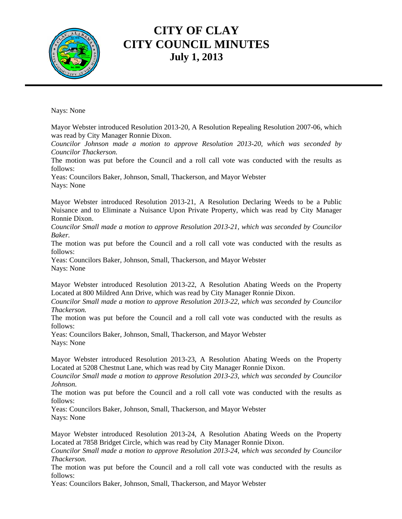

Nays: None

Mayor Webster introduced Resolution 2013-20, A Resolution Repealing Resolution 2007-06, which was read by City Manager Ronnie Dixon.

*Councilor Johnson made a motion to approve Resolution 2013-20, which was seconded by Councilor Thackerson.* 

The motion was put before the Council and a roll call vote was conducted with the results as follows:

Yeas: Councilors Baker, Johnson, Small, Thackerson, and Mayor Webster Nays: None

Mayor Webster introduced Resolution 2013-21, A Resolution Declaring Weeds to be a Public Nuisance and to Eliminate a Nuisance Upon Private Property, which was read by City Manager Ronnie Dixon.

*Councilor Small made a motion to approve Resolution 2013-21, which was seconded by Councilor Baker.* 

The motion was put before the Council and a roll call vote was conducted with the results as follows:

Yeas: Councilors Baker, Johnson, Small, Thackerson, and Mayor Webster Nays: None

Mayor Webster introduced Resolution 2013-22, A Resolution Abating Weeds on the Property Located at 800 Mildred Ann Drive, which was read by City Manager Ronnie Dixon.

*Councilor Small made a motion to approve Resolution 2013-22, which was seconded by Councilor Thackerson.* 

The motion was put before the Council and a roll call vote was conducted with the results as follows:

Yeas: Councilors Baker, Johnson, Small, Thackerson, and Mayor Webster Nays: None

Mayor Webster introduced Resolution 2013-23, A Resolution Abating Weeds on the Property Located at 5208 Chestnut Lane, which was read by City Manager Ronnie Dixon.

*Councilor Small made a motion to approve Resolution 2013-23, which was seconded by Councilor Johnson.* 

The motion was put before the Council and a roll call vote was conducted with the results as follows:

Yeas: Councilors Baker, Johnson, Small, Thackerson, and Mayor Webster Nays: None

Mayor Webster introduced Resolution 2013-24, A Resolution Abating Weeds on the Property Located at 7858 Bridget Circle, which was read by City Manager Ronnie Dixon.

*Councilor Small made a motion to approve Resolution 2013-24, which was seconded by Councilor Thackerson.* 

The motion was put before the Council and a roll call vote was conducted with the results as follows:

Yeas: Councilors Baker, Johnson, Small, Thackerson, and Mayor Webster